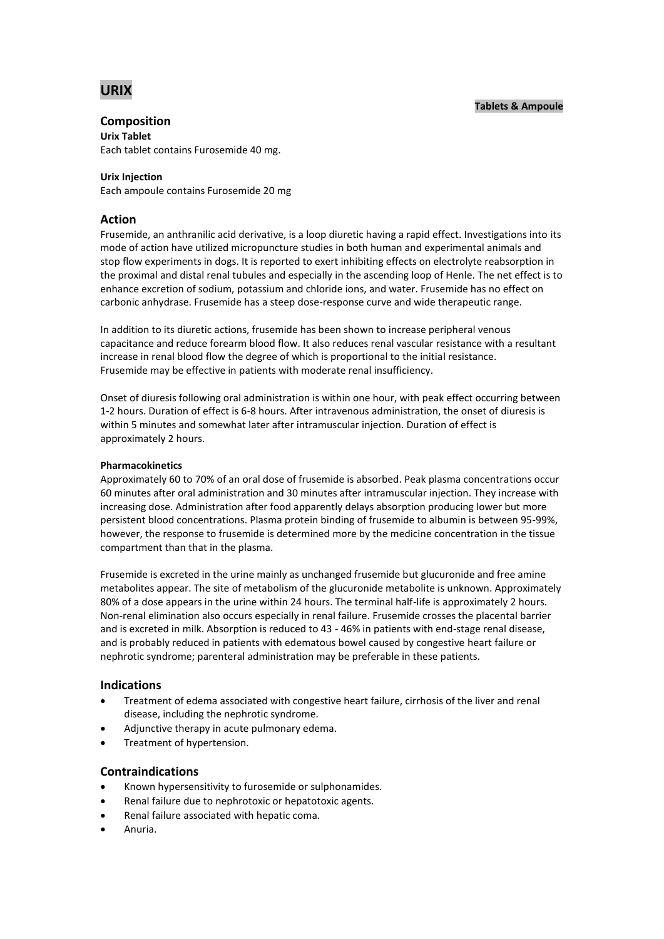# **URIX**

# **Composition**

**Urix Tablet**

Each tablet contains Furosemide 40 mg.

### **Urix Injection**

Each ampoule contains Furosemide 20 mg

# **Action**

Frusemide, an anthranilic acid derivative, is a loop diuretic having a rapid effect. Investigations into its mode of action have utilized micropuncture studies in both human and experimental animals and stop flow experiments in dogs. It is reported to exert inhibiting effects on electrolyte reabsorption in the proximal and distal renal tubules and especially in the ascending loop of Henle. The net effect is to enhance excretion of sodium, potassium and chloride ions, and water. Frusemide has no effect on carbonic anhydrase. Frusemide has a steep dose-response curve and wide therapeutic range.

In addition to its diuretic actions, frusemide has been shown to increase peripheral venous capacitance and reduce forearm blood flow. It also reduces renal vascular resistance with a resultant increase in renal blood flow the degree of which is proportional to the initial resistance. Frusemide may be effective in patients with moderate renal insufficiency.

Onset of diuresis following oral administration is within one hour, with peak effect occurring between 1-2 hours. Duration of effect is 6-8 hours. After intravenous administration, the onset of diuresis is within 5 minutes and somewhat later after intramuscular injection. Duration of effect is approximately 2 hours.

### **Pharmacokinetics**

Approximately 60 to 70% of an oral dose of frusemide is absorbed. Peak plasma concentrations occur 60 minutes after oral administration and 30 minutes after intramuscular injection. They increase with increasing dose. Administration after food apparently delays absorption producing lower but more persistent blood concentrations. Plasma protein binding of frusemide to albumin is between 95-99%, however, the response to frusemide is determined more by the medicine concentration in the tissue compartment than that in the plasma.

Frusemide is excreted in the urine mainly as unchanged frusemide but glucuronide and free amine metabolites appear. The site of metabolism of the glucuronide metabolite is unknown. Approximately 80% of a dose appears in the urine within 24 hours. The terminal half-life is approximately 2 hours. Non-renal elimination also occurs especially in renal failure. Frusemide crosses the placental barrier and is excreted in milk. Absorption is reduced to 43 - 46% in patients with end-stage renal disease, and is probably reduced in patients with edematous bowel caused by congestive heart failure or nephrotic syndrome; parenteral administration may be preferable in these patients.

# **Indications**

- Treatment of edema associated with congestive heart failure, cirrhosis of the liver and renal disease, including the nephrotic syndrome.
- Adjunctive therapy in acute pulmonary edema.
- Treatment of hypertension.

# **Contraindications**

- Known hypersensitivity to furosemide or sulphonamides.
- Renal failure due to nephrotoxic or hepatotoxic agents.
- Renal failure associated with hepatic coma.
- Anuria.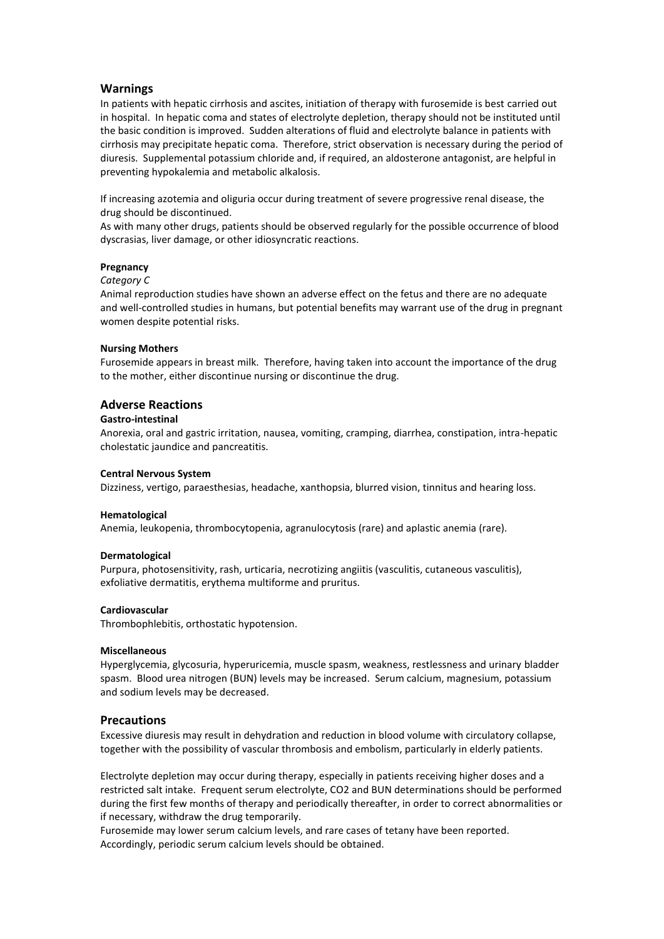### **Warnings**

In patients with hepatic cirrhosis and ascites, initiation of therapy with furosemide is best carried out in hospital. In hepatic coma and states of electrolyte depletion, therapy should not be instituted until the basic condition is improved. Sudden alterations of fluid and electrolyte balance in patients with cirrhosis may precipitate hepatic coma. Therefore, strict observation is necessary during the period of diuresis. Supplemental potassium chloride and, if required, an aldosterone antagonist, are helpful in preventing hypokalemia and metabolic alkalosis.

If increasing azotemia and oliguria occur during treatment of severe progressive renal disease, the drug should be discontinued.

As with many other drugs, patients should be observed regularly for the possible occurrence of blood dyscrasias, liver damage, or other idiosyncratic reactions.

### **Pregnancy**

### *Category C*

Animal reproduction studies have shown an adverse effect on the fetus and there are no adequate and well-controlled studies in humans, but potential benefits may warrant use of the drug in pregnant women despite potential risks.

### **Nursing Mothers**

Furosemide appears in breast milk. Therefore, having taken into account the importance of the drug to the mother, either discontinue nursing or discontinue the drug.

### **Adverse Reactions**

### **Gastro-intestinal**

Anorexia, oral and gastric irritation, nausea, vomiting, cramping, diarrhea, constipation, intra-hepatic cholestatic jaundice and pancreatitis.

### **Central Nervous System**

Dizziness, vertigo, paraesthesias, headache, xanthopsia, blurred vision, tinnitus and hearing loss.

### **Hematological**

Anemia, leukopenia, thrombocytopenia, agranulocytosis (rare) and aplastic anemia (rare).

### **Dermatological**

Purpura, photosensitivity, rash, urticaria, necrotizing angiitis (vasculitis, cutaneous vasculitis), exfoliative dermatitis, erythema multiforme and pruritus.

### **Cardiovascular**

Thrombophlebitis, orthostatic hypotension.

### **Miscellaneous**

Hyperglycemia, glycosuria, hyperuricemia, muscle spasm, weakness, restlessness and urinary bladder spasm. Blood urea nitrogen (BUN) levels may be increased. Serum calcium, magnesium, potassium and sodium levels may be decreased.

### **Precautions**

Excessive diuresis may result in dehydration and reduction in blood volume with circulatory collapse, together with the possibility of vascular thrombosis and embolism, particularly in elderly patients.

Electrolyte depletion may occur during therapy, especially in patients receiving higher doses and a restricted salt intake. Frequent serum electrolyte, CO2 and BUN determinations should be performed during the first few months of therapy and periodically thereafter, in order to correct abnormalities or if necessary, withdraw the drug temporarily.

Furosemide may lower serum calcium levels, and rare cases of tetany have been reported. Accordingly, periodic serum calcium levels should be obtained.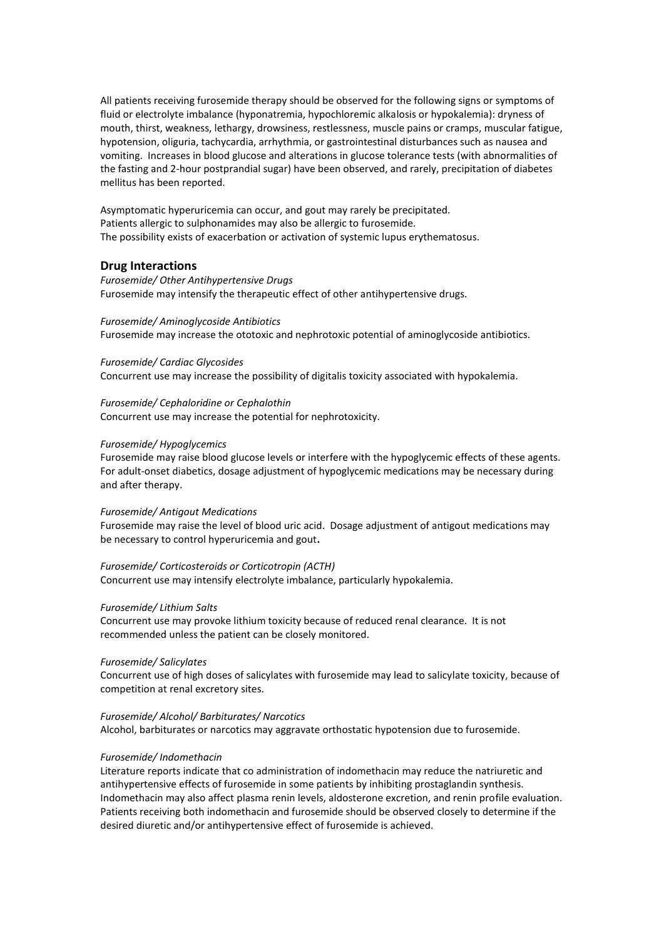All patients receiving furosemide therapy should be observed for the following signs or symptoms of fluid or electrolyte imbalance (hyponatremia, hypochloremic alkalosis or hypokalemia): dryness of mouth, thirst, weakness, lethargy, drowsiness, restlessness, muscle pains or cramps, muscular fatigue, hypotension, oliguria, tachycardia, arrhythmia, or gastrointestinal disturbances such as nausea and vomiting. Increases in blood glucose and alterations in glucose tolerance tests (with abnormalities of the fasting and 2-hour postprandial sugar) have been observed, and rarely, precipitation of diabetes mellitus has been reported.

Asymptomatic hyperuricemia can occur, and gout may rarely be precipitated. Patients allergic to sulphonamides may also be allergic to furosemide. The possibility exists of exacerbation or activation of systemic lupus erythematosus.

### **Drug Interactions**

*Furosemide/ Other Antihypertensive Drugs* Furosemide may intensify the therapeutic effect of other antihypertensive drugs.

### *Furosemide/ Aminoglycoside Antibiotics*

Furosemide may increase the ototoxic and nephrotoxic potential of aminoglycoside antibiotics.

#### *Furosemide/ Cardiac Glycosides*

Concurrent use may increase the possibility of digitalis toxicity associated with hypokalemia.

*Furosemide/ Cephaloridine or Cephalothin* Concurrent use may increase the potential for nephrotoxicity.

### *Furosemide/ Hypoglycemics*

Furosemide may raise blood glucose levels or interfere with the hypoglycemic effects of these agents. For adult-onset diabetics, dosage adjustment of hypoglycemic medications may be necessary during and after therapy.

#### *Furosemide/ Antigout Medications*

Furosemide may raise the level of blood uric acid. Dosage adjustment of antigout medications may be necessary to control hyperuricemia and gout**.** 

### *Furosemide/ Corticosteroids or Corticotropin (ACTH)*

Concurrent use may intensify electrolyte imbalance, particularly hypokalemia.

### *Furosemide/ Lithium Salts*

Concurrent use may provoke lithium toxicity because of reduced renal clearance. It is not recommended unless the patient can be closely monitored.

#### *Furosemide/ Salicylates*

Concurrent use of high doses of salicylates with furosemide may lead to salicylate toxicity, because of competition at renal excretory sites.

#### *Furosemide/ Alcohol/ Barbiturates/ Narcotics*

Alcohol, barbiturates or narcotics may aggravate orthostatic hypotension due to furosemide.

### *Furosemide/ Indomethacin*

Literature reports indicate that co administration of indomethacin may reduce the natriuretic and antihypertensive effects of furosemide in some patients by inhibiting prostaglandin synthesis. Indomethacin may also affect plasma renin levels, aldosterone excretion, and renin profile evaluation. Patients receiving both indomethacin and furosemide should be observed closely to determine if the desired diuretic and/or antihypertensive effect of furosemide is achieved.